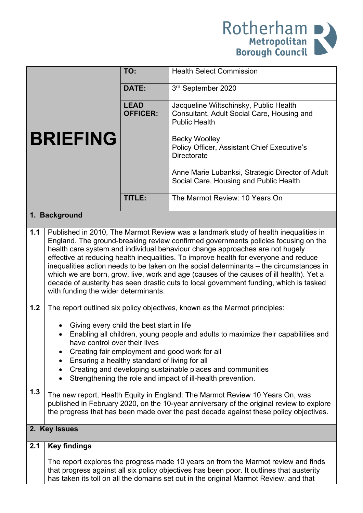

|                 |                                                                                                                                                                                                                                                                                                                                                                                                                                                                                                                                                                                                                                                                           | TO:                            | <b>Health Select Commission</b>                                                                                                                                                                                                                                   |  |
|-----------------|---------------------------------------------------------------------------------------------------------------------------------------------------------------------------------------------------------------------------------------------------------------------------------------------------------------------------------------------------------------------------------------------------------------------------------------------------------------------------------------------------------------------------------------------------------------------------------------------------------------------------------------------------------------------------|--------------------------------|-------------------------------------------------------------------------------------------------------------------------------------------------------------------------------------------------------------------------------------------------------------------|--|
|                 |                                                                                                                                                                                                                                                                                                                                                                                                                                                                                                                                                                                                                                                                           | <b>DATE:</b>                   | 3rd September 2020                                                                                                                                                                                                                                                |  |
|                 |                                                                                                                                                                                                                                                                                                                                                                                                                                                                                                                                                                                                                                                                           | <b>LEAD</b><br><b>OFFICER:</b> | Jacqueline Wiltschinsky, Public Health<br>Consultant, Adult Social Care, Housing and<br><b>Public Health</b>                                                                                                                                                      |  |
| <b>BRIEFING</b> |                                                                                                                                                                                                                                                                                                                                                                                                                                                                                                                                                                                                                                                                           |                                | <b>Becky Woolley</b><br><b>Policy Officer, Assistant Chief Executive's</b><br><b>Directorate</b>                                                                                                                                                                  |  |
|                 |                                                                                                                                                                                                                                                                                                                                                                                                                                                                                                                                                                                                                                                                           |                                | Anne Marie Lubanksi, Strategic Director of Adult<br>Social Care, Housing and Public Health                                                                                                                                                                        |  |
|                 |                                                                                                                                                                                                                                                                                                                                                                                                                                                                                                                                                                                                                                                                           | TITLE:                         | The Marmot Review: 10 Years On                                                                                                                                                                                                                                    |  |
| 1. Background   |                                                                                                                                                                                                                                                                                                                                                                                                                                                                                                                                                                                                                                                                           |                                |                                                                                                                                                                                                                                                                   |  |
| 1.1             | Published in 2010, The Marmot Review was a landmark study of health inequalities in<br>England. The ground-breaking review confirmed governments policies focusing on the<br>health care system and individual behaviour change approaches are not hugely<br>effective at reducing health inequalities. To improve health for everyone and reduce<br>inequalities action needs to be taken on the social determinants - the circumstances in<br>which we are born, grow, live, work and age (causes of the causes of ill health). Yet a<br>decade of austerity has seen drastic cuts to local government funding, which is tasked<br>with funding the wider determinants. |                                |                                                                                                                                                                                                                                                                   |  |
| 1.2             |                                                                                                                                                                                                                                                                                                                                                                                                                                                                                                                                                                                                                                                                           |                                | The report outlined six policy objectives, known as the Marmot principles:                                                                                                                                                                                        |  |
|                 | Giving every child the best start in life<br>have control over their lives<br>Ensuring a healthy standard of living for all<br>$\bullet$                                                                                                                                                                                                                                                                                                                                                                                                                                                                                                                                  |                                | Enabling all children, young people and adults to maximize their capabilities and<br>Creating fair employment and good work for all                                                                                                                               |  |
|                 | $\bullet$                                                                                                                                                                                                                                                                                                                                                                                                                                                                                                                                                                                                                                                                 |                                | Creating and developing sustainable places and communities<br>Strengthening the role and impact of ill-health prevention.                                                                                                                                         |  |
| 1.3             |                                                                                                                                                                                                                                                                                                                                                                                                                                                                                                                                                                                                                                                                           |                                | The new report, Health Equity in England: The Marmot Review 10 Years On, was<br>published in February 2020, on the 10-year anniversary of the original review to explore<br>the progress that has been made over the past decade against these policy objectives. |  |
| 2. Key Issues   |                                                                                                                                                                                                                                                                                                                                                                                                                                                                                                                                                                                                                                                                           |                                |                                                                                                                                                                                                                                                                   |  |
| 2.1             | <b>Key findings</b>                                                                                                                                                                                                                                                                                                                                                                                                                                                                                                                                                                                                                                                       |                                |                                                                                                                                                                                                                                                                   |  |
|                 |                                                                                                                                                                                                                                                                                                                                                                                                                                                                                                                                                                                                                                                                           |                                | The report explores the progress made 10 years on from the Marmot review and finds<br>that programs against all six policy objectives has been poor. It outlines that austerity                                                                                   |  |

that progress against all six policy objectives has been poor. It outlines that austerity has taken its toll on all the domains set out in the original Marmot Review, and that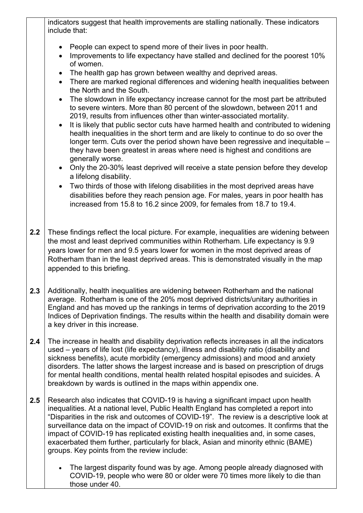indicators suggest that health improvements are stalling nationally. These indicators include that:

- People can expect to spend more of their lives in poor health.
- Improvements to life expectancy have stalled and declined for the poorest 10% of women.
- The health gap has grown between wealthy and deprived areas.
- There are marked regional differences and widening health inequalities between the North and the South.
- The slowdown in life expectancy increase cannot for the most part be attributed to severe winters. More than 80 percent of the slowdown, between 2011 and 2019, results from influences other than winter-associated mortality.
- It is likely that public sector cuts have harmed health and contributed to widening health inequalities in the short term and are likely to continue to do so over the longer term. Cuts over the period shown have been regressive and inequitable – they have been greatest in areas where need is highest and conditions are generally worse.
- Only the 20-30% least deprived will receive a state pension before they develop a lifelong disability.
- Two thirds of those with lifelong disabilities in the most deprived areas have disabilities before they reach pension age. For males, years in poor health has increased from 15.8 to 16.2 since 2009, for females from 18.7 to 19.4.
- **2.2** These findings reflect the local picture. For example, inequalities are widening between the most and least deprived communities within Rotherham. Life expectancy is 9.9 years lower for men and 9.5 years lower for women in the most deprived areas of Rotherham than in the least deprived areas. This is demonstrated visually in the map appended to this briefing.
- **2.3** Additionally, health inequalities are widening between Rotherham and the national average. Rotherham is one of the 20% most deprived districts/unitary authorities in England and has moved up the rankings in terms of deprivation according to the 2019 Indices of Deprivation findings. The results within the health and disability domain were a key driver in this increase.
- **2.4** The increase in health and disability deprivation reflects increases in all the indicators used – years of life lost (life expectancy), illness and disability ratio (disability and sickness benefits), acute morbidity (emergency admissions) and mood and anxiety disorders. The latter shows the largest increase and is based on prescription of drugs for mental health conditions, mental health related hospital episodes and suicides. A breakdown by wards is outlined in the maps within appendix one.
- **2.5** Research also indicates that COVID-19 is having a significant impact upon health inequalities. At a national level, Public Health England has completed a report into "Disparities in the risk and outcomes of COVID-19". The review is a descriptive look at surveillance data on the impact of COVID-19 on risk and outcomes. It confirms that the impact of COVID-19 has replicated existing health inequalities and, in some cases, exacerbated them further, particularly for black, Asian and minority ethnic (BAME) groups. Key points from the review include:
	- The largest disparity found was by age. Among people already diagnosed with COVID-19, people who were 80 or older were 70 times more likely to die than those under 40.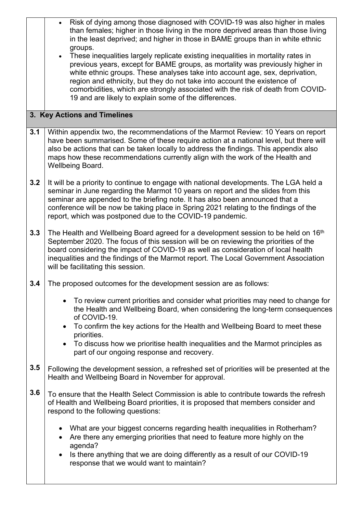|                              | Risk of dying among those diagnosed with COVID-19 was also higher in males<br>$\bullet$<br>than females; higher in those living in the more deprived areas than those living<br>in the least deprived; and higher in those in BAME groups than in white ethnic<br>groups.<br>These inequalities largely replicate existing inequalities in mortality rates in<br>$\bullet$<br>previous years, except for BAME groups, as mortality was previously higher in<br>white ethnic groups. These analyses take into account age, sex, deprivation,<br>region and ethnicity, but they do not take into account the existence of<br>comorbidities, which are strongly associated with the risk of death from COVID-<br>19 and are likely to explain some of the differences. |  |  |  |
|------------------------------|---------------------------------------------------------------------------------------------------------------------------------------------------------------------------------------------------------------------------------------------------------------------------------------------------------------------------------------------------------------------------------------------------------------------------------------------------------------------------------------------------------------------------------------------------------------------------------------------------------------------------------------------------------------------------------------------------------------------------------------------------------------------|--|--|--|
| 3. Key Actions and Timelines |                                                                                                                                                                                                                                                                                                                                                                                                                                                                                                                                                                                                                                                                                                                                                                     |  |  |  |
| 3.1                          | Within appendix two, the recommendations of the Marmot Review: 10 Years on report<br>have been summarised. Some of these require action at a national level, but there will<br>also be actions that can be taken locally to address the findings. This appendix also<br>maps how these recommendations currently align with the work of the Health and<br>Wellbeing Board.                                                                                                                                                                                                                                                                                                                                                                                          |  |  |  |
| 3.2                          | It will be a priority to continue to engage with national developments. The LGA held a<br>seminar in June regarding the Marmot 10 years on report and the slides from this<br>seminar are appended to the briefing note. It has also been announced that a<br>conference will be now be taking place in Spring 2021 relating to the findings of the<br>report, which was postponed due to the COVID-19 pandemic.                                                                                                                                                                                                                                                                                                                                                    |  |  |  |
| 3.3                          | The Health and Wellbeing Board agreed for a development session to be held on 16 <sup>th</sup><br>September 2020. The focus of this session will be on reviewing the priorities of the<br>board considering the impact of COVID-19 as well as consideration of local health<br>inequalities and the findings of the Marmot report. The Local Government Association<br>will be facilitating this session.                                                                                                                                                                                                                                                                                                                                                           |  |  |  |
| 3.4                          | The proposed outcomes for the development session are as follows:                                                                                                                                                                                                                                                                                                                                                                                                                                                                                                                                                                                                                                                                                                   |  |  |  |
|                              | To review current priorities and consider what priorities may need to change for<br>the Health and Wellbeing Board, when considering the long-term consequences<br>of COVID-19.                                                                                                                                                                                                                                                                                                                                                                                                                                                                                                                                                                                     |  |  |  |
|                              | • To confirm the key actions for the Health and Wellbeing Board to meet these<br>priorities.                                                                                                                                                                                                                                                                                                                                                                                                                                                                                                                                                                                                                                                                        |  |  |  |
|                              | To discuss how we prioritise health inequalities and the Marmot principles as<br>part of our ongoing response and recovery.                                                                                                                                                                                                                                                                                                                                                                                                                                                                                                                                                                                                                                         |  |  |  |
| 3.5                          | Following the development session, a refreshed set of priorities will be presented at the<br>Health and Wellbeing Board in November for approval.                                                                                                                                                                                                                                                                                                                                                                                                                                                                                                                                                                                                                   |  |  |  |
| 3.6                          | To ensure that the Health Select Commission is able to contribute towards the refresh<br>of Health and Wellbeing Board priorities, it is proposed that members consider and<br>respond to the following questions:                                                                                                                                                                                                                                                                                                                                                                                                                                                                                                                                                  |  |  |  |
|                              | What are your biggest concerns regarding health inequalities in Rotherham?<br>Are there any emerging priorities that need to feature more highly on the<br>$\bullet$<br>agenda?                                                                                                                                                                                                                                                                                                                                                                                                                                                                                                                                                                                     |  |  |  |
|                              | Is there anything that we are doing differently as a result of our COVID-19<br>$\bullet$<br>response that we would want to maintain?                                                                                                                                                                                                                                                                                                                                                                                                                                                                                                                                                                                                                                |  |  |  |